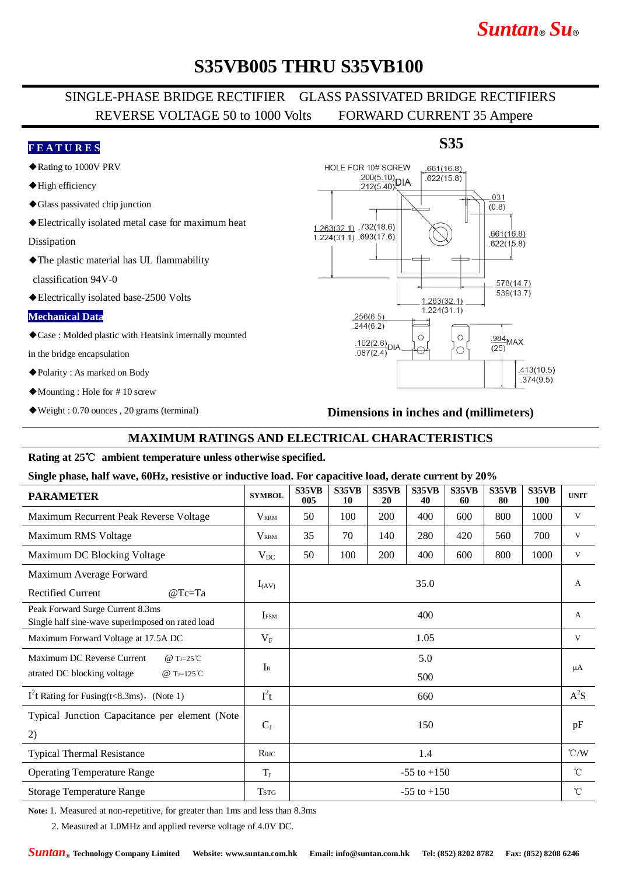# *Suntan***®** *Su***®**

# **S35VB005 THRU S35VB100**

## SINGLE-PHASE BRIDGE RECTIFIER GLASS PASSIVATED BRIDGE RECTIFIERS REVERSE VOLTAGE 50 to 1000 Volts FORWARD CURRENT 35 Ampere

### **F E A T U R E S**

- ◆Rating to 1000V PRV
- ◆High efficiency
- ◆Glass passivated chip junction
- ◆Electrically isolated metal case for maximum heat

Dissipation

◆The plastic material has UL flammability

classification 94V-0

◆Electrically isolated base-2500 Volts

#### **Mechanical Data**

◆Case : Molded plastic with Heatsink internally mounted

in the bridge encapsulation

- ◆Polarity : As marked on Body
- ◆Mounting : Hole for # 10 screw
- ◆Weight : 0.70 ounces , 20 grams (terminal)

## **S35**



### **Dimensions in inches and (millimeters)**

## **MAXIMUM RATINGS AND ELECTRICAL CHARACTERISTICS**

### **Rating at 25**℃ **ambient temperature unless otherwise specified.**

#### **Single phase, half wave, 60Hz, resistive or inductive load. For capacitive load, derate current by 20%**

| <b>PARAMETER</b>                                                                                               | <b>SYMBOL</b>                        | S35VB<br>005    | S35VB<br>10 | S35VB<br>20 | S35VB<br>40 | S35VB<br>60 | <b>S35VB</b><br>80 | S35VB<br><b>100</b> | <b>UNIT</b>     |
|----------------------------------------------------------------------------------------------------------------|--------------------------------------|-----------------|-------------|-------------|-------------|-------------|--------------------|---------------------|-----------------|
| Maximum Recurrent Peak Reverse Voltage                                                                         | <b>VRRM</b>                          | 50              | 100         | 200         | 400         | 600         | 800                | 1000                | V               |
| Maximum RMS Voltage                                                                                            | $V_{\rm RRM}$                        | 35              | 70          | 140         | 280         | 420         | 560                | 700                 | V               |
| Maximum DC Blocking Voltage                                                                                    | $V_{DC}$                             | 50              | 100         | 200         | 400         | 600         | 800                | 1000                | V               |
| Maximum Average Forward                                                                                        |                                      | 35.0            |             |             |             |             |                    |                     | $\mathbf{A}$    |
| <b>Rectified Current</b><br>$@Tc=Ta$                                                                           | $I_{(AV)}$                           |                 |             |             |             |             |                    |                     |                 |
| Peak Forward Surge Current 8.3ms<br>Single half sine-wave superimposed on rated load                           | IFSM                                 | 400             |             |             |             |             |                    |                     | $\mathbf{A}$    |
| Maximum Forward Voltage at 17.5A DC                                                                            | $V_{\rm F}$                          | 1.05            |             |             |             |             |                    |                     | V               |
| Maximum DC Reverse Current<br>@ T <sub>J=25</sub> °C<br>atrated DC blocking voltage<br>@ T <sub>J=125</sub> °C | $I_{R}$                              | 5.0             |             |             |             |             |                    |                     |                 |
|                                                                                                                |                                      | 500             |             |             |             |             |                    |                     | μA              |
| $I2$ t Rating for Fusing(t<8.3ms), (Note 1)                                                                    | $I^2t$                               | 660             |             |             |             |             |                    |                     | $A^2S$          |
| Typical Junction Capacitance per element (Note                                                                 |                                      | 150             |             |             |             |             |                    |                     | pF              |
| 2)                                                                                                             | $C_{J}$                              |                 |             |             |             |             |                    |                     |                 |
| <b>Typical Thermal Resistance</b>                                                                              | $R$ <sup><math>\theta</math>JC</sup> | 1.4             |             |             |             |             |                    |                     | $\mathcal{C}/W$ |
| <b>Operating Temperature Range</b>                                                                             | $T_{J}$                              | $-55$ to $+150$ |             |             |             |             |                    |                     | $^{\circ}C$     |
| <b>Storage Temperature Range</b>                                                                               | <b>TSTG</b>                          | $-55$ to $+150$ |             |             |             |             |                    |                     | $^{\circ}C$     |

**Note:** 1. Measured at non-repetitive, for greater than 1ms and less than 8.3ms

2. Measured at 1.0MHz and applied reverse voltage of 4.0V DC.